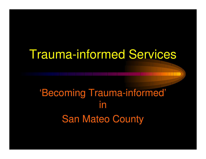# Trauma-informed Services

### 'Becoming Trauma-informed' inSan Mateo County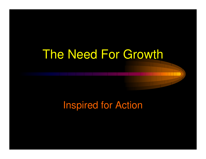# The Need For Growth

#### Inspired for Action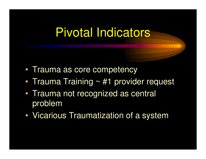## Pivotal Indicators

- •• Trauma as core competency
- •• Trauma Training ~ #1 provider request
- •• Trauma not recognized as central problem
- VICALIC Vicarious Traumatization of a system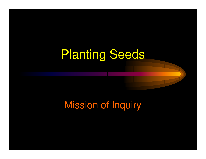# Planting Seeds

#### Mission of Inquiry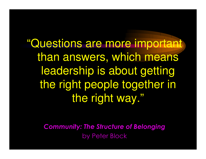"Questions are more important than answers, which means leadership is about getting the right people together in the right way."

> Community: The Structure of Belongingby Peter Block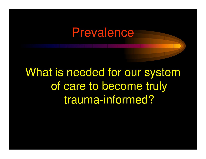### Prevalence

What is needed for our system of care to become truly trauma-informed?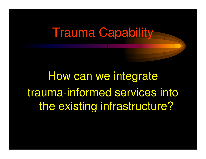## Trauma Capability

How can we integrate trauma-informed services into the existing infrastructure?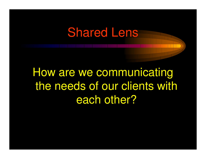## Shared Lens

How are we communicating the needs of our clients with each other?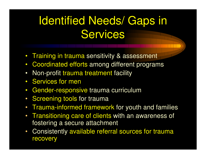# Identified Needs/ Gaps in **Services**

- Training in trauma sensitivity & assessment
- $\bullet$ Coordinated efforts among different programs
- $\bullet$ Non-profit trauma treatment facility
- Services for men
- Gender-responsive trauma curriculum  $\bullet$
- Screening tools for trauma
- Trauma-informed framework for youth and families
- Transitioning care of clients with an awareness of fostering a secure attachment
- $\bullet$  Consistently available referral sources for trauma recovery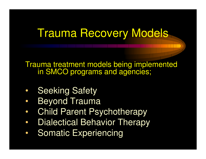### Trauma Recovery Models

Trauma treatment models being implemented in SMCO programs and agencies;

- •Seeking Safety
- •Beyond Trauma
- $\bullet$ Child Parent Psychotherapy
- $\bullet$ Dialectical Behavior Therapy
- •Somatic Experiencing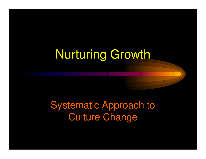# Nurturing Growth

#### Systematic Approach to Culture Change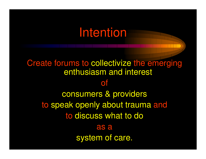## Intention

Create forums to collectivize the emerging enthusiasm and interest ofconsumers & providers to speak openly about trauma and to discuss what to doas asystem of care.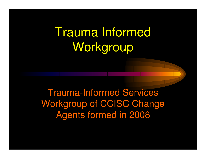# Trauma Informed Workgroup

Trauma-Informed Services Workgroup of CCISC Change Agents formed in 2008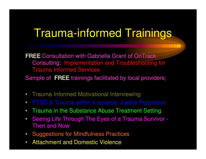### Trauma-informed Trainings

FREE Consultation with Gabriella Grant of OnTrack Consulting: Implementation and Troubleshooting for Trauma Informed Services

Sample of FREE trainings facilitated by local providers;

- Trauma Informed Motivational Interviewing
- $\bullet$
- Trauma in the Substance Abuse Treatment Setting
- $\bullet$  Seeing Life Through The Eyes of a Trauma Survivor - Then and Now
- Suggestions for Mindfulness Practices
- $\bullet$ Attachment and Domestic Violence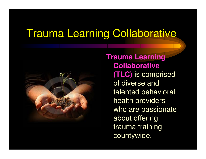#### Trauma Learning Collaborative



**Trauma Learning Collaborative (TLC)** is comprised of diverse and talented behavioral health providers who are passionate about offering trauma training countywide.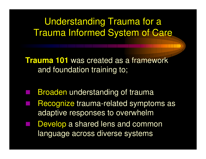#### Understanding Trauma for a Trauma Informed System of Care

**Trauma 101** was created as a framework and foundation training to;

- Broaden understanding of trauma
- Recognize trauma-related symptoms as adaptive responses to overwhelm
- **Develop a shared lens and common** language across diverse systems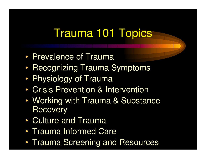## Trauma 101 Topics

- •• Prevalence of Trauma
- •• Recognizing Trauma Symptoms
- •Physiology of Trauma
- •Crisis Prevention & Intervention
- • Working with Trauma & Substance **Recovery**
- •Culture and Trauma
- •Trauma Informed Care
- •Trauma Screening and Resources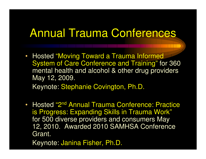#### Annual Trauma Conferences

- Hosted "Moving Toward a Trauma Informed System of Care Conference and Training" for 360 mental health and alcohol & other drug providers May 12, 2009. Keynote: Stephanie Covington, Ph.D.
- •• Hosted "2<sup>nd</sup> Annual Trauma Conference: Practice is Progress: Expanding Skills in Trauma Work" for 500 diverse providers and consumers May 12, 2010. Awarded 2010 SAMHSA Conference Grant.

Keynote: Janina Fisher, Ph.D.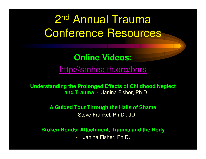## 2nd Annual Trauma Conference Resources

#### **Online Videos:**

http://smhealth.org/bhrs

**Understanding the Prolonged Effects of Childhood Neglect and Trauma** - Janina Fisher, Ph.D.

**A Guided Tour Through the Halls of Shame**

Steve Frankel, Ph.D., JD

**Broken Bonds: Attachment, Trauma and the Body**

Janina Fisher, Ph.D.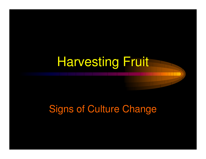# Harvesting Fruit

#### Signs of Culture Change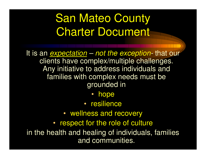# San Mateo County Charter Document

It is an <u>expectation</u> clients have complex/multiple challenges. - not the exception that our Any initiative to address individuals and families with complex needs must be grounded in

- •hope
- resilience
- wellness and recovery
- respect for the role of culture

in the health and healing of individuals, families and communities.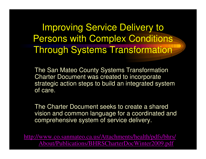Improving Service Delivery to Persons with Complex Conditions Through Systems Transformation

The San Mateo County Systems Transformation Charter Document was created to incorporate strategic action steps to build an integrated system of care.

The Charter Document seeks to create a shared vision and common language for a coordinated and comprehensive system of service delivery.

http://www.co.sanmateo.ca.us/Attachments/health/pdfs/bhrs/About/Publications/BHRSCharterDocWinter2009.pdf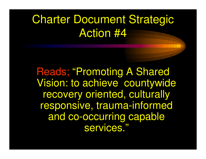## Charter Document Strategic Action #4

Reads; "Promoting A Shared Vision: to achieve countywide recovery oriented, culturally responsive, trauma-informed and co-occurring capable services."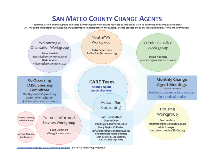#### **SAN MATEO COUNTY CHANGE AGENTS**

A dynamic, action-oriented group dedicated promoting the wellness and recovery of individuals with co-occurring and complex conditions. All who share this passion are welcome and encouraged to participate in any capacity. Please contact any of the individuals below for more information.



Change Agent Website: www.smhealth.org/bhrs - go to "Co-Occurring Webpage"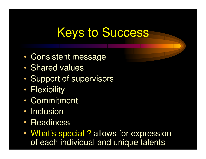# Keys to Success

- •Consistent message
- •• Shared values
- •Support of supervisors
- •• Flexibility
- •Commitment
- •• Inclusion
- •• Readiness
- •• What's special ? allows for expression of each individual and unique talents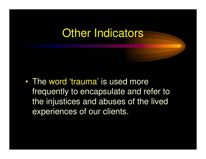#### **Other Indicators**

•• The word 'trauma' is used more frequently to encapsulate and refer to the injustices and abuses of the lived experiences of our clients.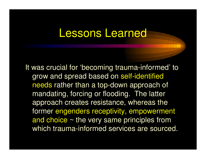#### Lessons Learned

It was crucial for 'becoming trauma-informed' to grow and spread based on self-identified needs rather than a top-down approach of mandating, forcing or flooding. The latter approach creates resistance, whereas the former engenders receptivity, empowerment and choice  $\sim$  the very same principles from which trauma-informed services are sourced.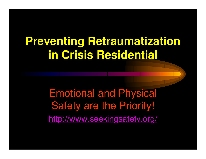## **Preventing Retraumatization in Crisis Residential**

Emotional and Physical Safety are the Priority!http://www.seekingsafety.org/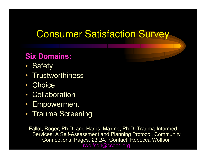#### Consumer Satisfaction Survey

#### **Six Domains:**

- Safety
- Trustworthiness
- Choice
- Collaboration
- Empowerment
- Trauma Screening

Fallot, Roger, Ph.D. and Harris, Maxine, Ph.D. Trauma-Informed Services: A Self-Assessment and Planning Protocol. Community Connections. Pages: 23-24. Contact: Rebecca Wolfsonrwolfson@ccdc1.org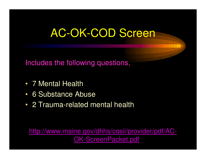## AC-OK-COD Screen

Includes the following questions,

- 7 Mental Health
- 6 Substance Abuse
- 2 Trauma-related mental health

http://www.maine.gov/dhhs/cosii/provider/pdf/AC-OK-ScreenPacket.pdf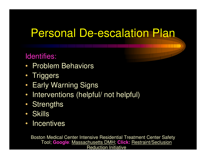### Personal De-escalation Plan

#### Identifies:

- Problem Behaviors
- Triggers
- Early Warning Signs
- Interventions (helpful/ not helpful)
- Strengths
- Skills
- Incentives

Boston Medical Center Intensive Residential Treatment Center Safety Tool; **Google**: Massachusetts DMH; **Click:** Restraint/Seclusion Reduction Initiative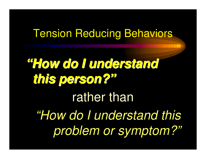#### Tension Reducing Behaviors

**"How do I understand this person?"**rather than"How do I understand this problem or symptom?"